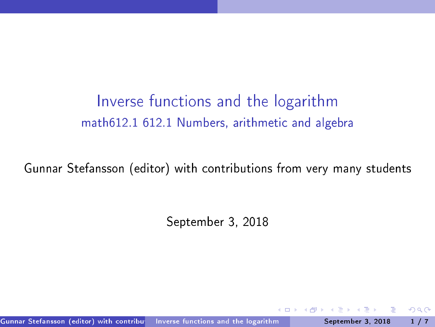Inverse functions and the logarithm math612.1 612.1 Numbers, arithmeti and algebra

Gunnar Stefansson (editor) with ontributions from very many students

<span id="page-0-0"></span>September 3, 2018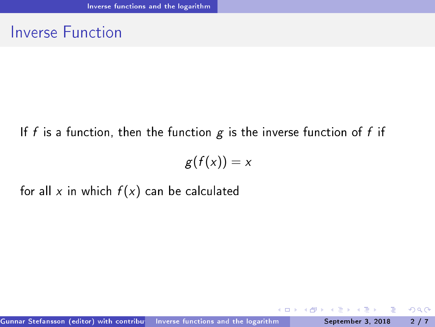### **Inverse Function**

#### If f is a function, then the function  $g$  is the inverse function of f if

$$
g(f(x))=x
$$

for all x in which  $f(x)$  can be calculated

**◆ ロ ▶ → 何 ▶** 

Þ

 $\rightarrow$ 

重

<span id="page-1-0"></span> $298$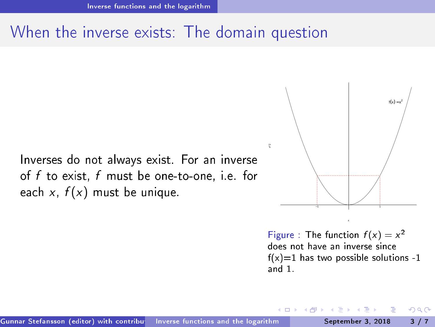### When the inverse exists: The domain question

Inverses do not always exist. For an inverse of <sup>f</sup> to exist, <sup>f</sup> must be one-to-one, i.e. for each x,  $f(x)$  must be unique.



<span id="page-2-0"></span>Figure : The function  $f(x) = x^2$ <br>does not have an inverse since  $f(x)=1$  has two possible solutions -1 and  $1$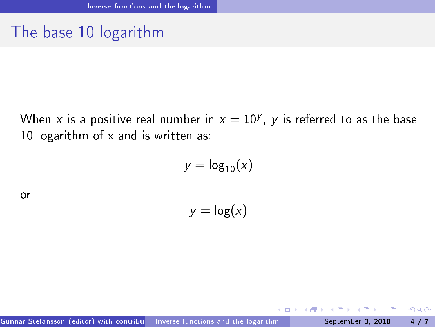# The base <sup>10</sup> logarithm

When  $x$  is a positive real number in  $x=10^\mathcal{Y}, \; \mathcal{y}$  is referred to as the base 10 logarithm of x and is written as:

$$
y = \log_{10}(x)
$$

or

 $y = log(x)$ 

4 D F

э

<span id="page-3-0"></span> $298$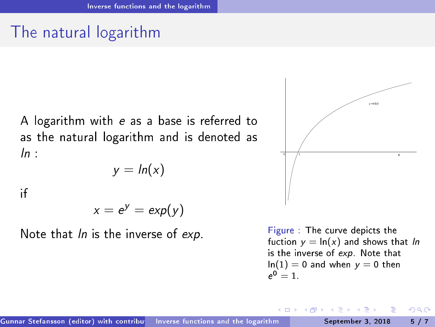## The natural logarithm

A logarithm with <sup>e</sup> as a base is referred to as the natural logarithm and is denoted as  $ln$ 

$$
y = \ln(x)
$$

ïf

$$
x=e^y=\exp(y)
$$

Note that *ln* is the inverse of exp.



<span id="page-4-0"></span>Figure: The curve depicts the fuction  $y = \ln(x)$  and shows that ln is the inverse of  $exp$  Note that  $ln(1) = 0$  and when  $y = 0$  then  $e^0 = 1.$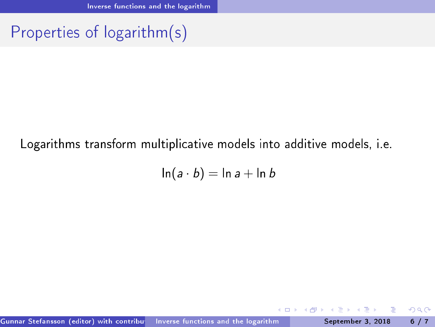# Properties of logarithm(s)

#### Logarithms transform multiplicative models into additive models, i.e.

$$
\ln(a \cdot b) = \ln a + \ln b
$$

<span id="page-5-0"></span>4 0 8